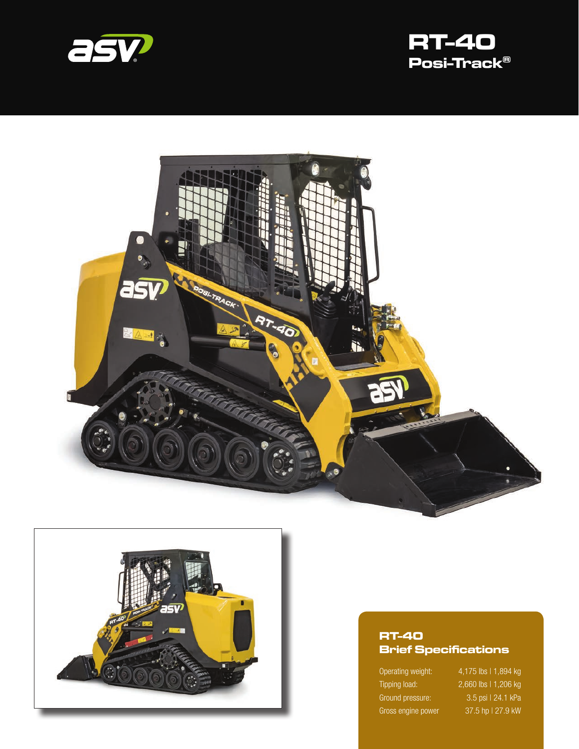







#### **RT-40 Brief Specifications**

Operating weight: 4,175 lbs | 1,894 kg

Tipping load: 2,660 lbs | 1,206 kg Ground pressure: 3.5 psi | 24.1 kPa Gross engine power 37.5 hp | 27.9 kW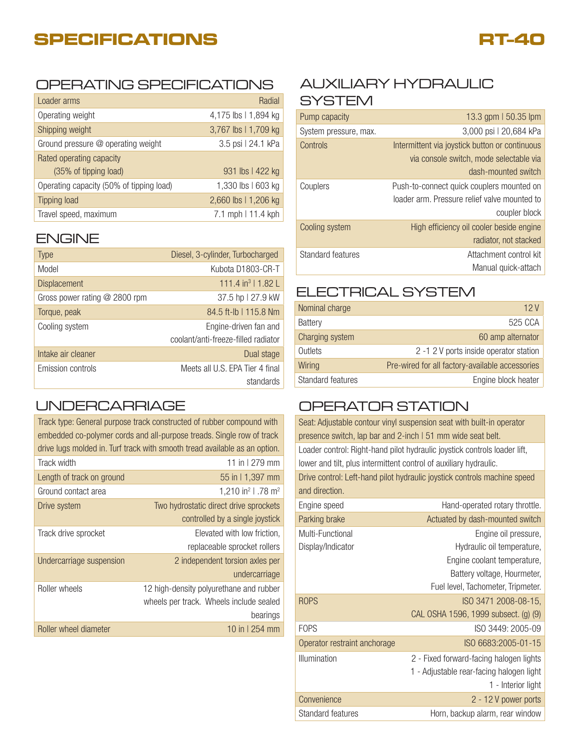# **SPECIFICATIONS**



### OPERATING SPECIFICATIONS AUXILIARY HYDRAULIC

| Loader arms                              | Radial               |
|------------------------------------------|----------------------|
| Operating weight                         | 4,175 lbs   1,894 kg |
| Shipping weight                          | 3,767 lbs   1,709 kg |
| Ground pressure @ operating weight       | 3.5 psi   24.1 kPa   |
| Rated operating capacity                 |                      |
| (35% of tipping load)                    | 931 lbs   422 kg     |
| Operating capacity (50% of tipping load) | 1,330 lbs   603 kg   |
| <b>Tipping load</b>                      | 2,660 lbs   1,206 kg |
| Travel speed, maximum                    | 7.1 mph   11.4 kph   |

#### ENGINE

| <b>Type</b>                     | Diesel, 3-cylinder, Turbocharged    |
|---------------------------------|-------------------------------------|
| Model                           | Kubota D1803-CR-T                   |
| <b>Displacement</b>             | 111.4 in <sup>3</sup>   1.82 L      |
| Gross power rating $@$ 2800 rpm | 37.5 hp   27.9 kW                   |
| Torque, peak                    | 84.5 ft-lb   115.8 Nm               |
| Cooling system                  | Engine-driven fan and               |
|                                 | coolant/anti-freeze-filled radiator |
| Intake air cleaner              | Dual stage                          |
| Emission controls               | Meets all U.S. EPA Tier 4 final     |
|                                 | standards                           |

### UNDERCARRIAGE

| Track type: General purpose track constructed of rubber compound with<br>embedded co-polymer cords and all-purpose treads. Single row of track<br>drive lugs molded in. Turf track with smooth tread available as an option. |                                            |  |
|------------------------------------------------------------------------------------------------------------------------------------------------------------------------------------------------------------------------------|--------------------------------------------|--|
| Track width                                                                                                                                                                                                                  | 11 in $1279$ mm                            |  |
| Length of track on ground                                                                                                                                                                                                    | 55 in 1,397 mm                             |  |
| Ground contact area                                                                                                                                                                                                          | 1,210 in <sup>2</sup>   .78 m <sup>2</sup> |  |
| Drive system                                                                                                                                                                                                                 | Two hydrostatic direct drive sprockets     |  |
|                                                                                                                                                                                                                              | controlled by a single joystick            |  |
| Track drive sprocket                                                                                                                                                                                                         | Elevated with low friction.                |  |
|                                                                                                                                                                                                                              | replaceable sprocket rollers               |  |
| Undercarriage suspension                                                                                                                                                                                                     | 2 independent torsion axles per            |  |
|                                                                                                                                                                                                                              | undercarriage                              |  |
| Roller wheels                                                                                                                                                                                                                | 12 high-density polyurethane and rubber    |  |
|                                                                                                                                                                                                                              | wheels per track. Wheels include sealed    |  |
|                                                                                                                                                                                                                              | bearings                                   |  |
| Roller wheel diameter                                                                                                                                                                                                        | 10 in $1254$ mm                            |  |

# **SYSTEM**

| Pump capacity         | 13.3 gpm   50.35 lpm                           |
|-----------------------|------------------------------------------------|
| System pressure, max. | 3,000 psi   20,684 kPa                         |
| Controls              | Intermittent via joystick button or continuous |
|                       | via console switch, mode selectable via        |
|                       | dash-mounted switch                            |
| Couplers              | Push-to-connect quick couplers mounted on      |
|                       | loader arm. Pressure relief valve mounted to   |
|                       | coupler block                                  |
| Cooling system        | High efficiency oil cooler beside engine       |
|                       | radiator, not stacked                          |
| Standard features     | Attachment control kit                         |
|                       | Manual guick-attach                            |

### ELECTRICAL SYSTEM

| Nominal charge    | 12 V                                            |
|-------------------|-------------------------------------------------|
| <b>Battery</b>    | 525 CCA                                         |
| Charging system   | 60 amp alternator                               |
| Outlets           | 2 -1 2 V ports inside operator station          |
| Wiring            | Pre-wired for all factory-available accessories |
| Standard features | Engine block heater                             |

## OPERATOR STATION

| Seat: Adjustable contour vinyl suspension seat with built-in operator<br>presence switch, lap bar and 2-inch I 51 mm wide seat belt.           |                                                                                                                                                                                |  |
|------------------------------------------------------------------------------------------------------------------------------------------------|--------------------------------------------------------------------------------------------------------------------------------------------------------------------------------|--|
| Loader control: Right-hand pilot hydraulic joystick controls loader lift,<br>lower and tilt, plus intermittent control of auxiliary hydraulic. |                                                                                                                                                                                |  |
| and direction.                                                                                                                                 | Drive control: Left-hand pilot hydraulic joystick controls machine speed                                                                                                       |  |
| Engine speed                                                                                                                                   | Hand-operated rotary throttle.                                                                                                                                                 |  |
| Parking brake                                                                                                                                  | Actuated by dash-mounted switch                                                                                                                                                |  |
| Multi-Functional<br>Display/Indicator<br><b>ROPS</b>                                                                                           | Engine oil pressure,<br>Hydraulic oil temperature,<br>Engine coolant temperature,<br>Battery voltage, Hourmeter,<br>Fuel level, Tachometer, Tripmeter.<br>ISO 3471 2008-08-15, |  |
|                                                                                                                                                | CAL OSHA 1596, 1999 subsect. (g) (9)                                                                                                                                           |  |
| <b>FOPS</b>                                                                                                                                    | ISO 3449: 2005-09                                                                                                                                                              |  |
| Operator restraint anchorage                                                                                                                   | ISO 6683:2005-01-15                                                                                                                                                            |  |
| Illumination                                                                                                                                   | 2 - Fixed forward-facing halogen lights<br>1 - Adjustable rear-facing halogen light<br>1 - Interior light                                                                      |  |
| Convenience                                                                                                                                    | 2 - 12 V power ports                                                                                                                                                           |  |
| <b>Standard features</b>                                                                                                                       | Horn, backup alarm, rear window                                                                                                                                                |  |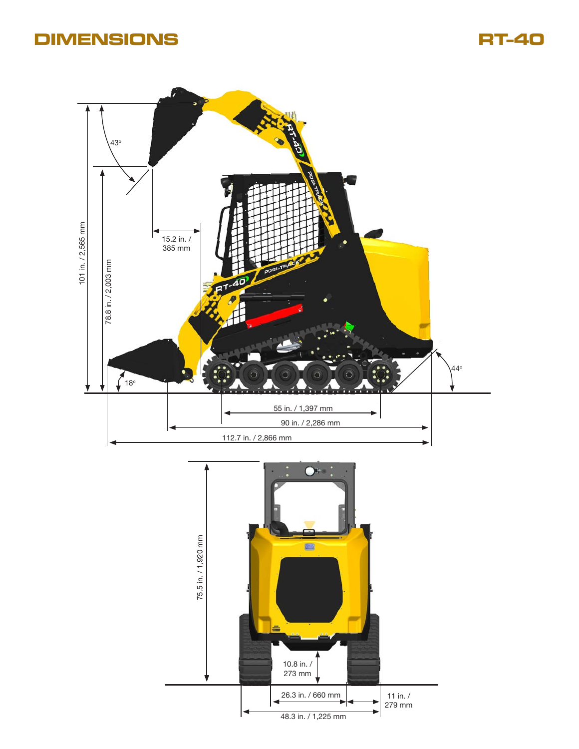# **DIMENSIONS RT-40**